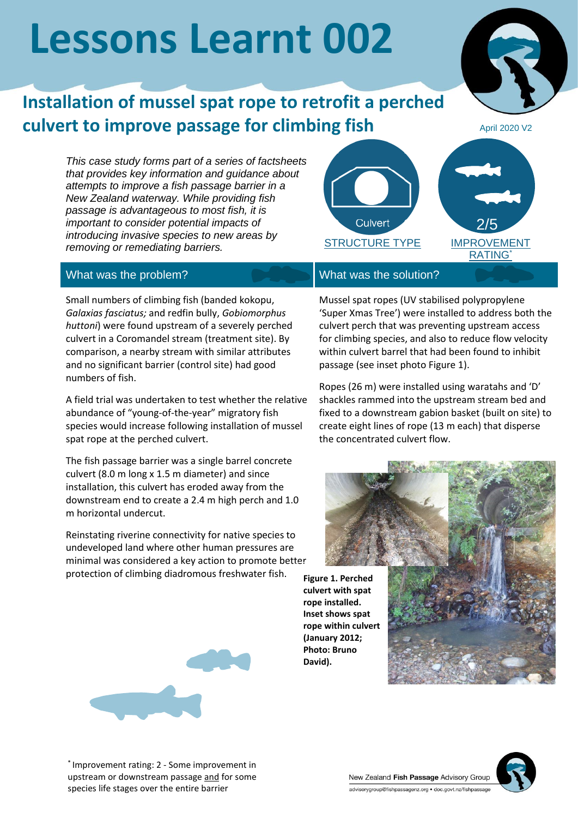# **Lessons Learnt 002**

## **Installation of mussel spat rope to retrofit a perched culvert to improve passage for climbing fish**

April 2020 V2

*This case study forms part of a series of factsheets that provides key information and guidance about attempts to improve a fish passage barrier in a New Zealand waterway. While providing fish passage is advantageous to most fish, it is important to consider potential impacts of introducing invasive species to new areas by removing or remediating barriers.*



### What was the problem? What was the solution?

Small numbers of climbing fish (banded kokopu, *Galaxias fasciatus;* and redfin bully, *Gobiomorphus huttoni*) were found upstream of a severely perched culvert in a Coromandel stream (treatment site). By comparison, a nearby stream with similar attributes and no significant barrier (control site) had good numbers of fish.

A field trial was undertaken to test whether the relative abundance of "young-of-the-year" migratory fish species would increase following installation of mussel spat rope at the perched culvert.

The fish passage barrier was a single barrel concrete culvert (8.0 m long x 1.5 m diameter) and since installation, this culvert has eroded away from the downstream end to create a 2.4 m high perch and 1.0 m horizontal undercut.

Reinstating riverine connectivity for native species to undeveloped land where other human pressures are minimal was considered a key action to promote better protection of climbing diadromous freshwater fish.



**Photo: Bruno David).**

Mussel spat ropes (UV stabilised polypropylene 'Super Xmas Tree') were installed to address both the culvert perch that was preventing upstream access for climbing species, and also to reduce flow velocity within culvert barrel that had been found to inhibit passage (see inset photo Figure 1).

Ropes (26 m) were installed using waratahs and 'D' shackles rammed into the upstream stream bed and fixed to a downstream gabion basket (built on site) to create eight lines of rope (13 m each) that disperse the concentrated culvert flow.





\* Improvement rating: 2 - Some improvement in upstream or downstream passage and for some species life stages over the entire barrier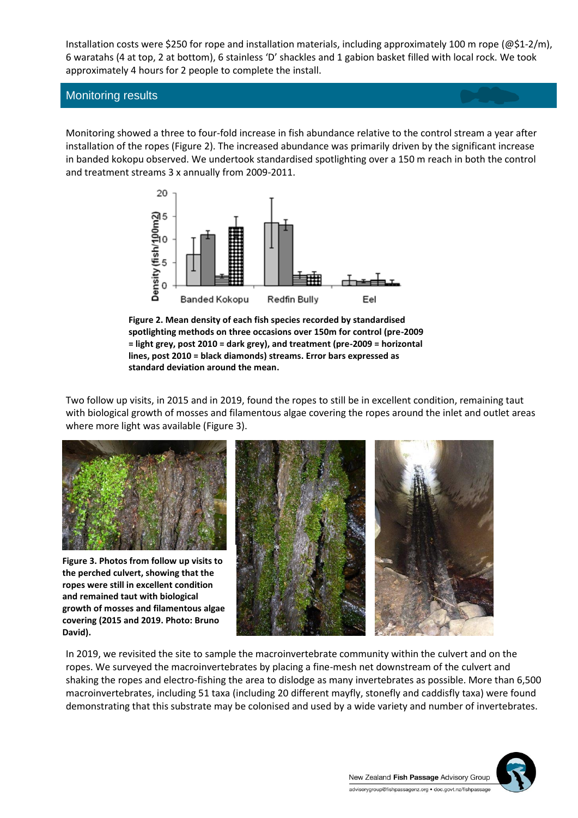Installation costs were \$250 for rope and installation materials, including approximately 100 m rope (@\$1-2/m), 6 waratahs (4 at top, 2 at bottom), 6 stainless 'D' shackles and 1 gabion basket filled with local rock. We took approximately 4 hours for 2 people to complete the install.

#### Monitoring results

Monitoring showed a three to four-fold increase in fish abundance relative to the control stream a year after installation of the ropes (Figure 2). The increased abundance was primarily driven by the significant increase in banded kokopu observed. We undertook standardised spotlighting over a 150 m reach in both the control and treatment streams 3 x annually from 2009-2011.



**Figure 2. Mean density of each fish species recorded by standardised spotlighting methods on three occasions over 150m for control (pre-2009 = light grey, post 2010 = dark grey), and treatment (pre-2009 = horizontal lines, post 2010 = black diamonds) streams. Error bars expressed as standard deviation around the mean.**

Two follow up visits, in 2015 and in 2019, found the ropes to still be in excellent condition, remaining taut with biological growth of mosses and filamentous algae covering the ropes around the inlet and outlet areas where more light was available (Figure 3).



**Figure 3. Photos from follow up visits to the perched culvert, showing that the ropes were still in excellent condition and remained taut with biological growth of mosses and filamentous algae covering (2015 and 2019. Photo: Bruno David).**



In 2019, we revisited the site to sample the macroinvertebrate community within the culvert and on the ropes. We surveyed the macroinvertebrates by placing a fine-mesh net downstream of the culvert and shaking the ropes and electro-fishing the area to dislodge as many invertebrates as possible. More than 6,500 macroinvertebrates, including 51 taxa (including 20 different mayfly, stonefly and caddisfly taxa) were found demonstrating that this substrate may be colonised and used by a wide variety and number of invertebrates.